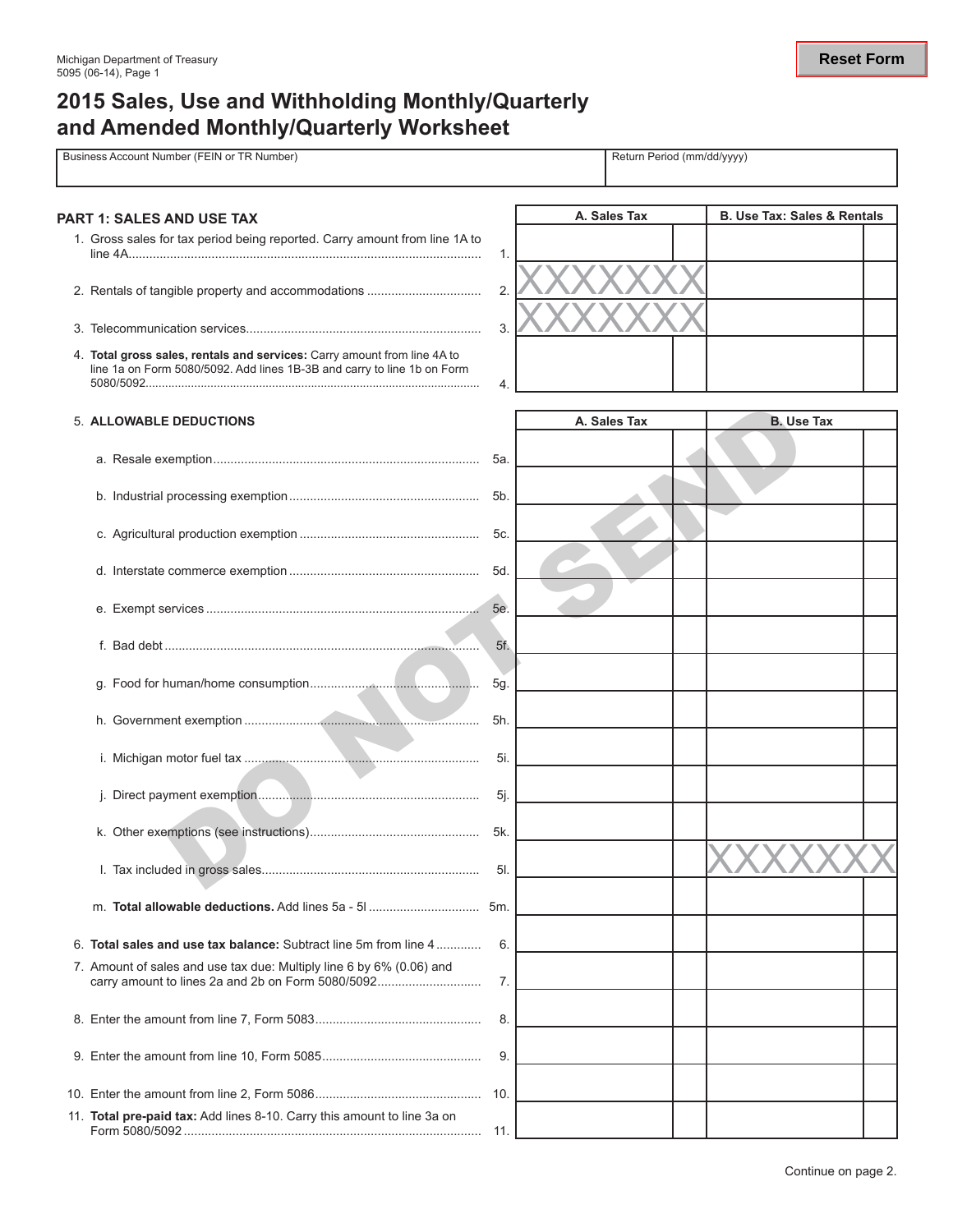# **2015 Sales, Use and Withholding Monthly/Quarterly and Amended Monthly/Quarterly Worksheet**

| Business Account Number (FEIN or TR Number) |                                                                                                                                                     |     | Return Period (mm/dd/yyyy) |  |                                        |  |  |
|---------------------------------------------|-----------------------------------------------------------------------------------------------------------------------------------------------------|-----|----------------------------|--|----------------------------------------|--|--|
|                                             | <b>PART 1: SALES AND USE TAX</b>                                                                                                                    |     | A. Sales Tax               |  | <b>B. Use Tax: Sales &amp; Rentals</b> |  |  |
|                                             | 1. Gross sales for tax period being reported. Carry amount from line 1A to                                                                          | 1.  |                            |  |                                        |  |  |
|                                             |                                                                                                                                                     | 2.  |                            |  |                                        |  |  |
|                                             |                                                                                                                                                     | 3.  |                            |  |                                        |  |  |
|                                             | 4. Total gross sales, rentals and services: Carry amount from line 4A to<br>line 1a on Form 5080/5092. Add lines 1B-3B and carry to line 1b on Form | 4.  |                            |  |                                        |  |  |
|                                             | 5. ALLOWABLE DEDUCTIONS                                                                                                                             |     | A. Sales Tax               |  | <b>B. Use Tax</b>                      |  |  |
|                                             |                                                                                                                                                     |     |                            |  |                                        |  |  |
|                                             |                                                                                                                                                     | 5b. |                            |  |                                        |  |  |
|                                             |                                                                                                                                                     | 5c. |                            |  |                                        |  |  |
|                                             |                                                                                                                                                     | 5d. |                            |  |                                        |  |  |
|                                             |                                                                                                                                                     | 5e. |                            |  |                                        |  |  |
|                                             |                                                                                                                                                     | 5f. |                            |  |                                        |  |  |
|                                             |                                                                                                                                                     | 5g. |                            |  |                                        |  |  |
|                                             |                                                                                                                                                     | 5h. |                            |  |                                        |  |  |
|                                             |                                                                                                                                                     | 5i. |                            |  |                                        |  |  |
|                                             |                                                                                                                                                     | 5j. |                            |  |                                        |  |  |
|                                             |                                                                                                                                                     | 5k. |                            |  |                                        |  |  |
|                                             |                                                                                                                                                     | 5l. |                            |  |                                        |  |  |
|                                             |                                                                                                                                                     |     |                            |  |                                        |  |  |
|                                             | 6. Total sales and use tax balance: Subtract line 5m from line 4                                                                                    | 6.  |                            |  |                                        |  |  |
|                                             | 7. Amount of sales and use tax due: Multiply line 6 by 6% (0.06) and<br>carry amount to lines 2a and 2b on Form 5080/5092                           | 7.  |                            |  |                                        |  |  |
|                                             |                                                                                                                                                     | 8.  |                            |  |                                        |  |  |
|                                             |                                                                                                                                                     | 9.  |                            |  |                                        |  |  |
|                                             |                                                                                                                                                     | 10. |                            |  |                                        |  |  |
|                                             | 11. Total pre-paid tax: Add lines 8-10. Carry this amount to line 3a on                                                                             | 11. |                            |  |                                        |  |  |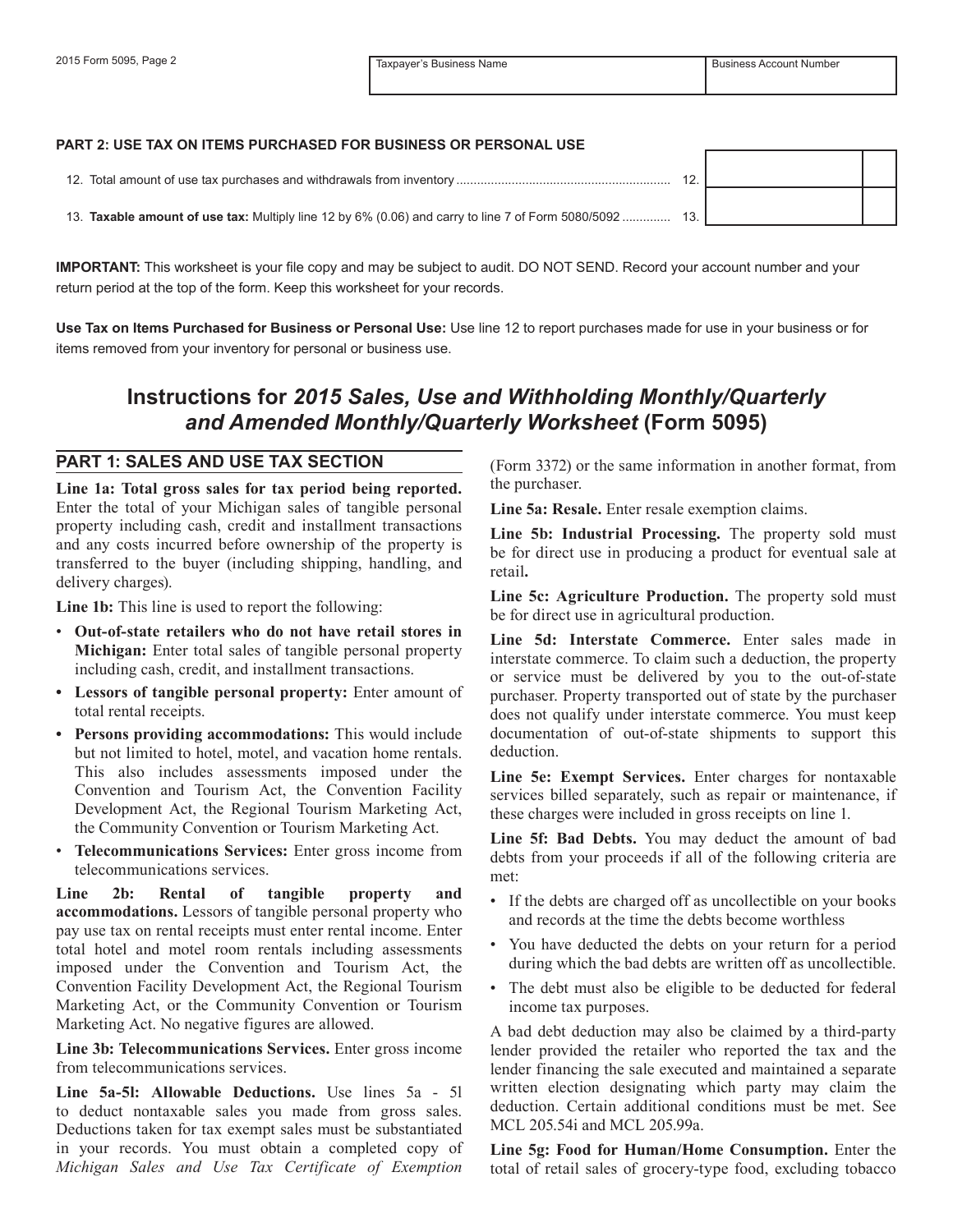#### **Part 2: Use Tax on Items Purchased for Business or Personal Use**

| 12. Total amount of use tax purchases and withdrawals from inventory                                   |  |  |
|--------------------------------------------------------------------------------------------------------|--|--|
| 13. Taxable amount of use tax: Multiply line 12 by 6% (0.06) and carry to line 7 of Form 5080/5092 13. |  |  |

**IMPORTANT:** This worksheet is your file copy and may be subject to audit. DO NOT SEND. Record your account number and your return period at the top of the form. Keep this worksheet for your records.

**Use Tax on Items Purchased for Business or Personal Use:** Use line 12 to report purchases made for use in your business or for items removed from your inventory for personal or business use.

## **Instructions for** *2015 Sales, Use and Withholding Monthly/Quarterly and Amended Monthly/Quarterly Worksheet* **(Form 5095)**

#### **PART 1: SALES AND USE TAX SECTION**

**Line 1a: Total gross sales for tax period being reported.** Enter the total of your Michigan sales of tangible personal property including cash, credit and installment transactions and any costs incurred before ownership of the property is transferred to the buyer (including shipping, handling, and delivery charges).

**Line 1b:** This line is used to report the following:

- • **Out-of-state retailers who do not have retail stores in Michigan:** Enter total sales of tangible personal property including cash, credit, and installment transactions.
- **• Lessors of tangible personal property:** Enter amount of total rental receipts.
- **• Persons providing accommodations:** This would include but not limited to hotel, motel, and vacation home rentals. This also includes assessments imposed under the Convention and Tourism Act, the Convention Facility Development Act, the Regional Tourism Marketing Act, the Community Convention or Tourism Marketing Act.
- Telecommunications Services: Enter gross income from telecommunications services.

**Line 2b: Rental of tangible property and accommodations.** Lessors of tangible personal property who pay use tax on rental receipts must enter rental income. Enter total hotel and motel room rentals including assessments imposed under the Convention and Tourism Act, the Convention Facility Development Act, the Regional Tourism Marketing Act, or the Community Convention or Tourism Marketing Act. No negative figures are allowed.

**Line 3b: Telecommunications Services.** Enter gross income from telecommunications services.

**Line 5a-5l: Allowable Deductions.** Use lines 5a - 5l to deduct nontaxable sales you made from gross sales. Deductions taken for tax exempt sales must be substantiated in your records. You must obtain a completed copy of *Michigan Sales and Use Tax Certificate of Exemption* 

(Form 3372) or the same information in another format, from the purchaser.

**Line 5a: Resale.** Enter resale exemption claims.

**Line 5b: Industrial Processing.** The property sold must be for direct use in producing a product for eventual sale at retail**.**

**Line 5c: Agriculture Production.** The property sold must be for direct use in agricultural production.

**Line 5d: Interstate Commerce.** Enter sales made in interstate commerce. To claim such a deduction, the property or service must be delivered by you to the out-of-state purchaser. Property transported out of state by the purchaser does not qualify under interstate commerce. You must keep documentation of out-of-state shipments to support this deduction.

**Line 5e: Exempt Services.** Enter charges for nontaxable services billed separately, such as repair or maintenance, if these charges were included in gross receipts on line 1.

**Line 5f: Bad Debts.** You may deduct the amount of bad debts from your proceeds if all of the following criteria are met:

- If the debts are charged off as uncollectible on your books and records at the time the debts become worthless
- You have deducted the debts on your return for a period during which the bad debts are written off as uncollectible.
- The debt must also be eligible to be deducted for federal income tax purposes.

A bad debt deduction may also be claimed by a third-party lender provided the retailer who reported the tax and the lender financing the sale executed and maintained a separate written election designating which party may claim the deduction. Certain additional conditions must be met. See MCL 205.54i and MCL 205.99a.

**Line 5g: Food for Human/Home Consumption.** Enter the total of retail sales of grocery-type food, excluding tobacco